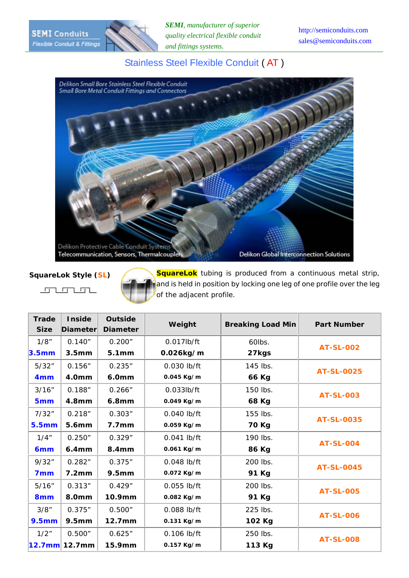*SEMI, manufacturer of superior quality electrical flexible conduit and fittings systems.*

## Stainless Steel Flexible Conduit ( AT )



 $\begin{array}{c} \begin{array}{c} \begin{array}{c} \begin{array}{c} \end{array} \\ \end{array} \\ \begin{array}{c} \end{array} \end{array} \end{array} \end{array} \end{array} \begin{array}{c} \begin{array}{c} \begin{array}{c} \end{array} \\ \end{array} \end{array} \begin{array}{c} \begin{array}{c} \end{array} \end{array} \end{array} \begin{array}{c} \begin{array}{c} \end{array} \end{array} \end{array} \begin{array}{c} \begin{array}{c} \end{array} \end{array} \end{array} \begin{array}{c} \begin{array}{c} \end{array} \end{array}$ 

**SquareLok Style (SL)** SquareLok tubing is produced from a continuous metal strip, and is held in position by locking one leg of one profile over the leg of the adjacent profile.

| <b>Trade</b>      | <b>Inside</b>     | <b>Outside</b>     |               |                          |                    |  |
|-------------------|-------------------|--------------------|---------------|--------------------------|--------------------|--|
| <b>Size</b>       | Diameter          | <b>Diameter</b>    | Weight        | <b>Breaking Load Min</b> | <b>Part Number</b> |  |
| 1/8"              | 0.140"            | 0.200"             | $0.017$ lb/ft | 60lbs.                   | <b>AT-SL-002</b>   |  |
| 3.5 <sub>mm</sub> | 3.5 <sub>mm</sub> | 5.1 <sub>mm</sub>  | 0.026kg/m     | 27kgs                    |                    |  |
| 5/32"             | 0.156"            | 0.235"             | 0.030 lb/ft   | 145 lbs.                 | <b>AT-SL-0025</b>  |  |
| 4 <sub>mm</sub>   | 4.0mm             | <b>6.0mm</b>       | 0.045 Kg/m    | 66 Kg                    |                    |  |
| 3/16"             | 0.188"            | 0.266"             | $0.033$ lb/ft | 150 lbs.                 | <b>AT-SL-003</b>   |  |
| 5 <sub>mm</sub>   | 4.8 <sub>mm</sub> | 6.8mm              | 0.049 Kg/m    | 68 Kg                    |                    |  |
| 7/32"             | 0.218"            | 0.303"             | 0.040 lb/ft   | 155 lbs.                 | <b>AT-SL-0035</b>  |  |
| <b>5.5mm</b>      | 5.6mm             | 7.7 <sub>mm</sub>  | 0.059 Kg/m    | 70 Kg                    |                    |  |
| 1/4"              | 0.250"            | 0.329"             | 0.041 lb/ft   | 190 lbs.                 | <b>AT-SL-004</b>   |  |
| 6 <sub>mm</sub>   | 6.4 <sub>mm</sub> | 8.4mm              | 0.061 Kg/m    | 86 Kg                    |                    |  |
| 9/32"             | 0.282"            | 0.375"             | $0.048$ lb/ft | 200 lbs.                 | <b>AT-SL-0045</b>  |  |
| 7 <sub>mm</sub>   | 7.2 <sub>mm</sub> | 9.5 <sub>mm</sub>  | 0.072 Kg/m    | 91 Kg                    |                    |  |
| 5/16"             | 0.313''           | 0.429"             | 0.055 lb/ft   | 200 lbs.                 | <b>AT-SL-005</b>   |  |
| 8 <sub>mm</sub>   | 8.0mm             | 10.9mm             | 0.082 Kg/m    | 91 Kg                    |                    |  |
| 3/8"              | 0.375"            | 0.500"             | 0.088 lb/ft   | 225 lbs.                 | <b>AT-SL-006</b>   |  |
| 9.5mm             | <b>9.5mm</b>      | 12.7 <sub>mm</sub> | 0.131 Kg/m    | 102 Kg                   |                    |  |
| 1/2"              | 0.500"            | 0.625"             | 0.106 lb/ft   | 250 lbs.                 | <b>AT-SL-008</b>   |  |
|                   |                   | 15.9mm             | 0.157 Kg/m    | 113 Kg                   |                    |  |